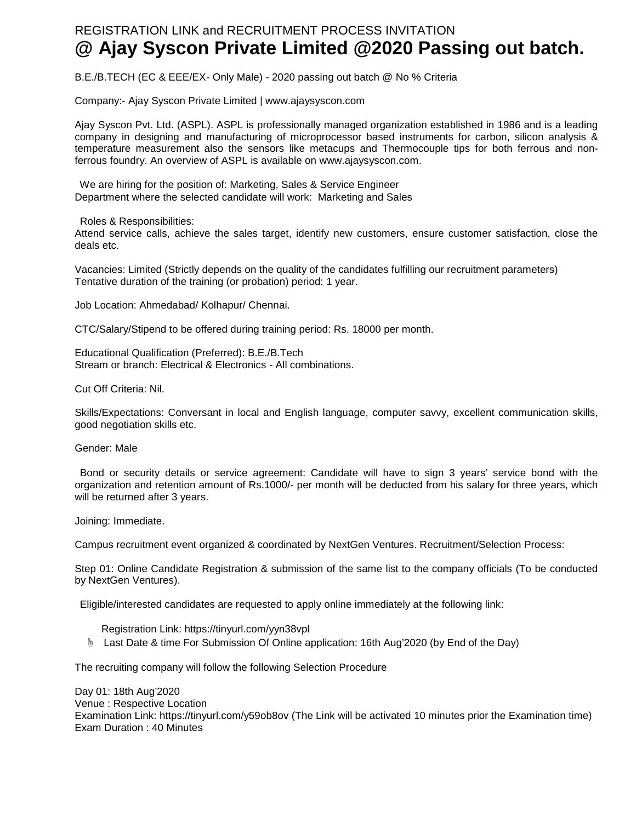## REGISTRATION LINK and RECRUITMENT PROCESS INVITATION **@ Ajay Syscon Private Limited @2020 Passing out batch.**

B.E./B.TECH (EC & EEE/EX- Only Male) - 2020 passing out batch @ No % Criteria

Company:- Ajay Syscon Private Limited | www.ajaysyscon.com

Ajay Syscon Pvt. Ltd. (ASPL). ASPL is professionally managed organization established in 1986 and is a leading company in designing and manufacturing of microprocessor based instruments for carbon, silicon analysis & temperature measurement also the sensors like metacups and Thermocouple tips for both ferrous and nonferrous foundry. An overview of ASPL is available on www.ajaysyscon.com.

We are hiring for the position of: Marketing, Sales & Service Engineer Department where the selected candidate will work: Marketing and Sales

Roles & Responsibilities:

Attend service calls, achieve the sales target, identify new customers, ensure customer satisfaction, close the deals etc.

Vacancies: Limited (Strictly depends on the quality of the candidates fulfilling our recruitment parameters) Tentative duration of the training (or probation) period: 1 year.

Job Location: Ahmedabad/ Kolhapur/ Chennai.

CTC/Salary/Stipend to be offered during training period: Rs. 18000 per month.

Educational Qualification (Preferred): B.E./B.Tech Stream or branch: Electrical & Electronics - All combinations.

Cut Off Criteria: Nil.

Skills/Expectations: Conversant in local and English language, computer savvy, excellent communication skills, good negotiation skills etc.

Gender: Male

Bond or security details or service agreement: Candidate will have to sign 3 years' service bond with the organization and retention amount of Rs.1000/- per month will be deducted from his salary for three years, which will be returned after 3 years.

Joining: Immediate.

Campus recruitment event organized & coordinated by NextGen Ventures. Recruitment/Selection Process:

Step 01: Online Candidate Registration & submission of the same list to the company officials (To be conducted by NextGen Ventures).

Eligible/interested candidates are requested to apply online immediately at the following link:

Registration Link: https://tinyurl.com/yyn38vpl

☝ Last Date & time For Submission Of Online application: 16th Aug'2020 (by End of the Day)

The recruiting company will follow the following Selection Procedure

Day 01: 18th Aug'2020 Venue : Respective Location Examination Link: https://tinyurl.com/y59ob8ov (The Link will be activated 10 minutes prior the Examination time) Exam Duration : 40 Minutes